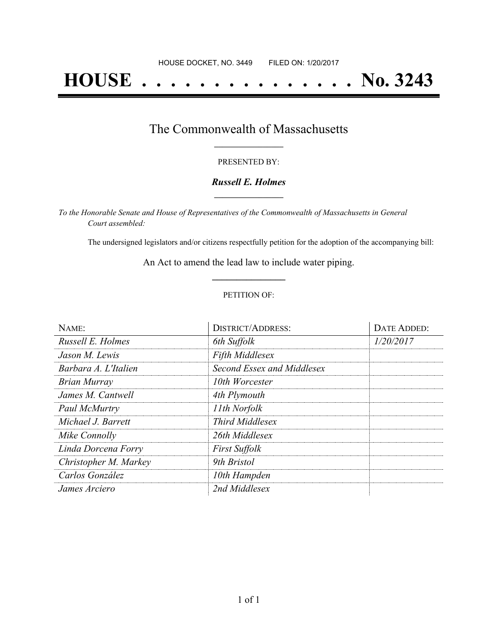# **HOUSE . . . . . . . . . . . . . . . No. 3243**

### The Commonwealth of Massachusetts **\_\_\_\_\_\_\_\_\_\_\_\_\_\_\_\_\_**

#### PRESENTED BY:

#### *Russell E. Holmes* **\_\_\_\_\_\_\_\_\_\_\_\_\_\_\_\_\_**

*To the Honorable Senate and House of Representatives of the Commonwealth of Massachusetts in General Court assembled:*

The undersigned legislators and/or citizens respectfully petition for the adoption of the accompanying bill:

An Act to amend the lead law to include water piping. **\_\_\_\_\_\_\_\_\_\_\_\_\_\_\_**

#### PETITION OF:

| NAME:                 | <b>DISTRICT/ADDRESS:</b>   | DATE ADDED: |
|-----------------------|----------------------------|-------------|
| Russell E. Holmes     | 6th Suffolk                | 1/20/2017   |
| Jason M. Lewis        | <b>Fifth Middlesex</b>     |             |
| Barbara A. L'Italien  | Second Essex and Middlesex |             |
| <b>Brian Murray</b>   | 10th Worcester             |             |
| James M. Cantwell     | 4th Plymouth               |             |
| Paul McMurtry         | 11th Norfolk               |             |
| Michael J. Barrett    | Third Middlesex            |             |
| Mike Connolly         | 26th Middlesex             |             |
| Linda Dorcena Forry   | <b>First Suffolk</b>       |             |
| Christopher M. Markey | 9th Bristol                |             |
| Carlos González       | 10th Hampden               |             |
| James Arciero         | 2nd Middlesex              |             |